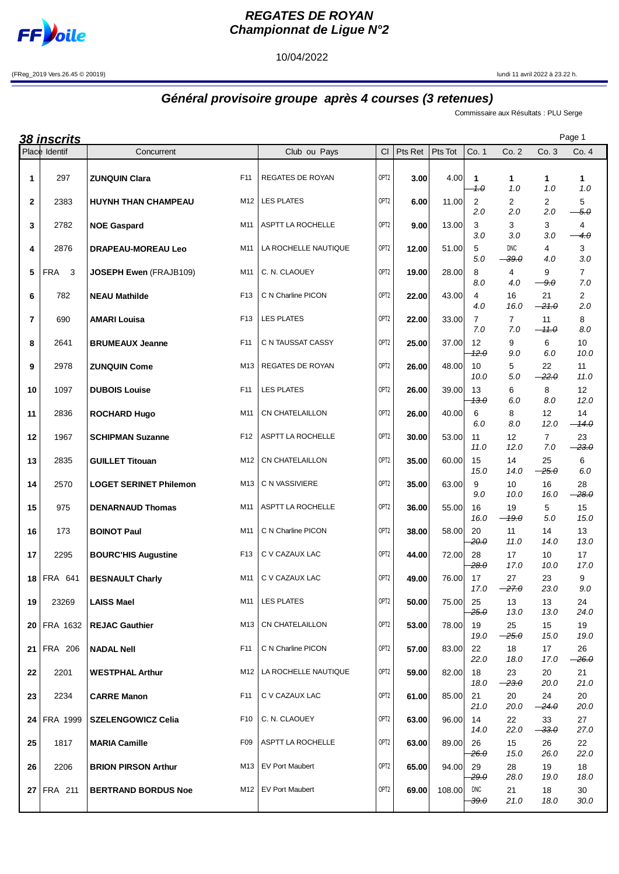

 $\overline{\phantom{a}}$ 

## **REGATES DE ROYAN Championnat de Ligue N°2**

10/04/2022

(FReg\_2019 Vers.26.45 © 20019) lundi 11 avril 2022 à 23.22 h.

## **Général provisoire groupe après 4 courses (3 retenues)**

Commissaire aux Résultats : PLU Serge

|                | <u>38 inscrits</u>         |                               |                 |                         |                  |         |         |                       |                 |                       | Page 1                |
|----------------|----------------------------|-------------------------------|-----------------|-------------------------|------------------|---------|---------|-----------------------|-----------------|-----------------------|-----------------------|
|                | Place Identif              | Concurrent                    |                 | Club ou Pays            | <b>CI</b>        | Pts Ret | Pts Tot | Co. 1                 | Co. 2           | Co. 3                 | Co. 4                 |
| 1              | 297                        | <b>ZUNQUIN Clara</b>          | F11             | REGATES DE ROYAN        | OPT <sub>2</sub> | 3.00    | 4.00    | 1<br>$+ \theta$       | 1<br>1.0        | 1<br>1.0              | 1<br>1.0              |
| $\mathbf{2}$   | 2383                       | <b>HUYNH THAN CHAMPEAU</b>    | M12             | <b>LES PLATES</b>       | OPT <sub>2</sub> | 6.00    | 11.00   | $\mathbf{2}$<br>2.0   | 2<br>2.0        | 2<br>2.0              | 5<br>$-5.0$           |
| 3              | 2782                       | <b>NOE Gaspard</b>            | M11             | ASPTT LA ROCHELLE       | OPT <sub>2</sub> | 9.00    | 13.00   | 3<br>3.0              | 3<br>3.0        | 3<br>3.0              | 4<br>$-4.0$           |
| 4              | 2876                       | <b>DRAPEAU-MOREAU Leo</b>     | M11             | LA ROCHELLE NAUTIQUE    | OPT <sub>2</sub> | 12.00   | 51.00   | 5<br>5.0              | DNC<br>$-39.0$  | 4<br>4.0              | 3<br>3.0              |
| 5              | <b>FRA</b><br>$\mathbf{3}$ | JOSEPH Ewen (FRAJB109)        | M11             | C. N. CLAOUEY           | OPT <sub>2</sub> | 19.00   | 28.00   | 8<br>8.0              | 4<br>4.0        | 9<br>9.0              | 7<br>7.0              |
| 6              | 782                        | <b>NEAU Mathilde</b>          | F <sub>13</sub> | C N Charline PICON      | OPT <sub>2</sub> | 22.00   | 43.00   | 4<br>4.0              | 16<br>16.0      | 21<br>$-21.0$         | $\overline{2}$<br>2.0 |
| $\overline{7}$ | 690                        | <b>AMARI Louisa</b>           | F <sub>13</sub> | <b>LES PLATES</b>       | OPT <sub>2</sub> | 22.00   | 33.00   | $\overline{7}$<br>7.0 | $\overline{7}$  | 11                    | 8<br>8.0              |
| 8              | 2641                       | <b>BRUMEAUX Jeanne</b>        | F11             | C N TAUSSAT CASSY       | OPT <sub>2</sub> | 25.00   | 37.00   | 12<br>12.0            | 7.0<br>9<br>9.0 | $-11.0$<br>6<br>6.0   | 10<br>10.0            |
| 9              | 2978                       | <b>ZUNQUIN Come</b>           | M13             | <b>REGATES DE ROYAN</b> | OPT <sub>2</sub> | 26.00   | 48.00   | 10<br>10.0            | 5<br>5.0        | 22<br>$-22.0$         | 11<br>11.0            |
| 10             | 1097                       | <b>DUBOIS Louise</b>          | F11             | <b>LES PLATES</b>       | OPT <sub>2</sub> | 26.00   | 39.00   | 13<br>13.0            | 6<br>6.0        | 8<br>8.0              | 12<br>12.0            |
| 11             | 2836                       | <b>ROCHARD Hugo</b>           | M11             | CN CHATELAILLON         | OPT <sub>2</sub> | 26.00   | 40.00   | 6<br>6.0              | 8<br>8.0        | 12<br>12.0            | 14<br>$-14.0$         |
| 12             | 1967                       | <b>SCHIPMAN Suzanne</b>       | F12             | ASPTT LA ROCHELLE       | OPT <sub>2</sub> | 30.00   | 53.00   | 11<br>11.0            | 12<br>12.0      | $\overline{7}$<br>7.0 | 23<br>$-23.0$         |
| 13             | 2835                       | <b>GUILLET Titouan</b>        | M12             | <b>CN CHATELAILLON</b>  | OPT <sub>2</sub> | 35.00   | 60.00   | 15<br>15.0            | 14<br>14.0      | 25<br>$-25.0$         | 6<br>6.0              |
| 14             | 2570                       | <b>LOGET SERINET Philemon</b> | M13             | C N VASSIVIERE          | OPT <sub>2</sub> | 35.00   | 63.00   | 9<br>9.0              | 10<br>10.0      | 16<br>16.0            | 28<br><del>28.0</del> |
| 15             | 975                        | <b>DENARNAUD Thomas</b>       | M11             | ASPTT LA ROCHELLE       | OPT <sub>2</sub> | 36.00   | 55.00   | 16<br>16.0            | 19<br>$-19.0$   | 5<br>5.0              | 15<br>15.0            |
| 16             | 173                        | <b>BOINOT Paul</b>            | M11             | C N Charline PICON      | OPT <sub>2</sub> | 38.00   | 58.00   | 20<br><del>20.0</del> | 11<br>11.0      | 14<br>14.0            | 13<br>13.0            |
| 17             | 2295                       | <b>BOURC'HIS Augustine</b>    | F <sub>13</sub> | C V CAZAUX LAC          | OPT <sub>2</sub> | 44.00   | 72.00   | 28<br>28.0            | 17<br>17.0      | 10<br>10.0            | 17<br>17.0            |
|                | 18 FRA 641                 | <b>BESNAULT Charly</b>        | M11             | C V CAZAUX LAC          | OPT <sub>2</sub> | 49.00   | 76.00   | 17<br>17.0            | 27<br>$-27.0$   | 23<br>23.0            | 9<br>9.0              |
| 19             | 23269                      | <b>LAISS Mael</b>             | M11             | <b>LES PLATES</b>       | OPT <sub>2</sub> | 50.00   | 75.00   | 25<br>25.0            | 13<br>13.0      | 13<br>13.0            | 24<br>24.0            |
|                | 20 FRA 1632                | <b>REJAC Gauthier</b>         | M13             | CN CHATELAILLON         | OPT <sub>2</sub> | 53.00   | 78.00   | 19<br>19.0            | 25<br>$-25.0$   | 15<br>15.0            | 19<br>19.0            |
| 21             | <b>FRA 206</b>             | <b>NADAL Nell</b>             | F11             | C N Charline PICON      | OPT <sub>2</sub> | 57.00   | 83.00   | 22<br>22.0            | 18<br>18.0      | 17<br>17.0            | 26<br><del>26.0</del> |
| 22             | 2201                       | <b>WESTPHAL Arthur</b>        | M12             | LA ROCHELLE NAUTIQUE    | OPT <sub>2</sub> | 59.00   | 82.00   | 18<br>18.0            | 23<br>$-23.0$   | 20<br>20.0            | 21<br>21.0            |
| 23             | 2234                       | <b>CARRE Manon</b>            | F11             | C V CAZAUX LAC          | OPT <sub>2</sub> | 61.00   | 85.00   | 21<br>21.0            | 20<br>20.0      | 24<br>$-24.0$         | 20<br>20.0            |
|                | 24 FRA 1999                | <b>SZELENGOWICZ Celia</b>     | F <sub>10</sub> | C. N. CLAOUEY           | OPT <sub>2</sub> | 63.00   | 96.00   | 14<br>14.0            | 22<br>22.0      | 33<br>$-33.0$         | 27<br>27.0            |
| 25             | 1817                       | <b>MARIA Camille</b>          | F09             | ASPTT LA ROCHELLE       | OPT <sub>2</sub> | 63.00   | 89.00   | 26<br>$26. \theta$    | 15<br>15.0      | 26<br>26.0            | 22<br>22.0            |
| 26             | 2206                       | <b>BRION PIRSON Arthur</b>    | M13             | <b>EV Port Maubert</b>  | OPT <sub>2</sub> | 65.00   | 94.00   | 29<br>29.0            | 28<br>28.0      | 19<br>19.0            | 18<br>18.0            |
|                | $27$ FRA 211               | <b>BERTRAND BORDUS Noe</b>    | M12             | <b>EV Port Maubert</b>  | OPT <sub>2</sub> | 69.00   | 108.00  | DNC<br>$-39.0$        | 21<br>21.0      | 18<br>18.0            | 30<br>30.0            |